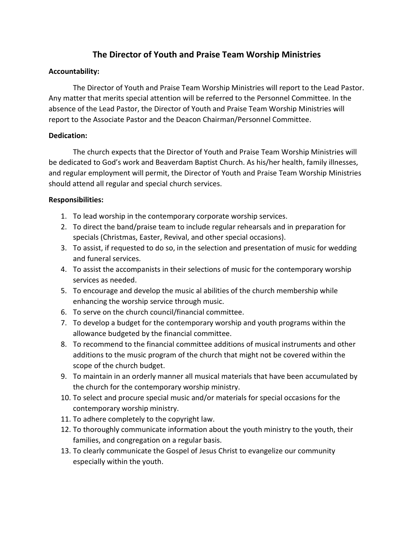# The Director of Youth and Praise Team Worship Ministries

## Accountability:

 The Director of Youth and Praise Team Worship Ministries will report to the Lead Pastor. Any matter that merits special attention will be referred to the Personnel Committee. In the absence of the Lead Pastor, the Director of Youth and Praise Team Worship Ministries will report to the Associate Pastor and the Deacon Chairman/Personnel Committee.

### Dedication:

 The church expects that the Director of Youth and Praise Team Worship Ministries will be dedicated to God's work and Beaverdam Baptist Church. As his/her health, family illnesses, and regular employment will permit, the Director of Youth and Praise Team Worship Ministries should attend all regular and special church services.

### Responsibilities:

- 1. To lead worship in the contemporary corporate worship services.
- 2. To direct the band/praise team to include regular rehearsals and in preparation for specials (Christmas, Easter, Revival, and other special occasions).
- 3. To assist, if requested to do so, in the selection and presentation of music for wedding and funeral services.
- 4. To assist the accompanists in their selections of music for the contemporary worship services as needed.
- 5. To encourage and develop the music al abilities of the church membership while enhancing the worship service through music.
- 6. To serve on the church council/financial committee.
- 7. To develop a budget for the contemporary worship and youth programs within the allowance budgeted by the financial committee.
- 8. To recommend to the financial committee additions of musical instruments and other additions to the music program of the church that might not be covered within the scope of the church budget.
- 9. To maintain in an orderly manner all musical materials that have been accumulated by the church for the contemporary worship ministry.
- 10. To select and procure special music and/or materials for special occasions for the contemporary worship ministry.
- 11. To adhere completely to the copyright law.
- 12. To thoroughly communicate information about the youth ministry to the youth, their families, and congregation on a regular basis.
- 13. To clearly communicate the Gospel of Jesus Christ to evangelize our community especially within the youth.